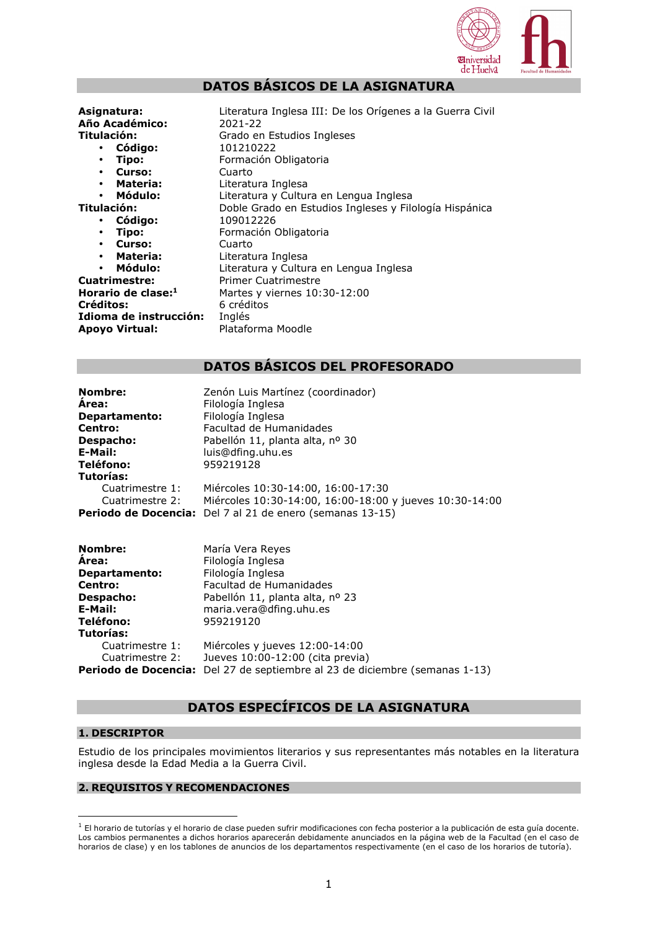

# **DATOS BÁSICOS DE LA ASIGNATURA**

**Asignatura:** Literatura Inglesa III: De los Orígenes a la Guerra Civil **Año Académico:** 2021-22 **Titulación:** Grado en Estudios Ingleses

- **Código:** 101210222
- 
- 

- 
- 
- 
- 
- 

**Créditos:** 6 créditos **Idioma de instrucción:** Inglés **Apoyo Virtual:** Plataforma Moodle

• **Tipo:** Formación Obligatoria • **Curso:** Cuarto • **Materia:** Literatura Inglesa • **Módulo:** Literatura y Cultura en Lengua Inglesa **Titulación:** Doble Grado en Estudios Ingleses y Filología Hispánica • **Código:** 109012226 • **Tipo:** Formación Obligatoria • **Curso:** Cuarto **Materia:** Literatura Inglesa • **Módulo:** Literatura y Cultura en Lengua Inglesa **Cuatrimestre:** Primer Cuatrimestre **Horario de clase:<sup>1</sup>** Martes y viernes 10:30-12:00

# **DATOS BÁSICOS DEL PROFESORADO**

| Nombre:<br>Area:<br><b>Departamento:</b><br>Centro:<br>Despacho:<br>E-Mail:<br><b>Teléfono:</b>        | Zenón Luis Martínez (coordinador)<br>Filología Inglesa<br>Filología Inglesa<br>Facultad de Humanidades<br>Pabellón 11, planta alta, nº 30<br>luis@dfing.uhu.es<br>959219128 |  |  |  |
|--------------------------------------------------------------------------------------------------------|-----------------------------------------------------------------------------------------------------------------------------------------------------------------------------|--|--|--|
| Tutorías:                                                                                              |                                                                                                                                                                             |  |  |  |
| Cuatrimestre 1:<br>Cuatrimestre 2:                                                                     | Miércoles 10:30-14:00, 16:00-17:30                                                                                                                                          |  |  |  |
|                                                                                                        | Miércoles 10:30-14:00, 16:00-18:00 y jueves 10:30-14:00<br>Periodo de Docencia: Del 7 al 21 de enero (semanas 13-15)                                                        |  |  |  |
| <b>Nombre:</b><br>Area:<br><b>Departamento:</b><br>Centro:<br>Despacho:<br>E-Mail:<br><b>Teléfono:</b> | María Vera Reyes<br>Filología Inglesa<br>Filología Inglesa<br>Facultad de Humanidades<br>Pabellón 11, planta alta, nº 23<br>maria.vera@dfing.uhu.es<br>959219120            |  |  |  |
| Tutorías:                                                                                              |                                                                                                                                                                             |  |  |  |
| Cuatrimestre 1:                                                                                        | Miércoles y jueves 12:00-14:00                                                                                                                                              |  |  |  |
| Cuatrimestre 2:                                                                                        | Jueves 10:00-12:00 (cita previa)                                                                                                                                            |  |  |  |
| Periodo de Docencia:                                                                                   | Del 27 de septiembre al 23 de diciembre (semanas 1-13)                                                                                                                      |  |  |  |

# **DATOS ESPECÍFICOS DE LA ASIGNATURA**

# **1. DESCRIPTOR**

Estudio de los principales movimientos literarios y sus representantes más notables en la literatura inglesa desde la Edad Media a la Guerra Civil.

# **2. REQUISITOS Y RECOMENDACIONES**

<sup>&</sup>lt;sup>1</sup> El horario de tutorías y el horario de clase pueden sufrir modificaciones con fecha posterior a la publicación de esta guía docente. Los cambios permanentes a dichos horarios aparecerán debidamente anunciados en la página web de la Facultad (en el caso de horarios de clase) y en los tablones de anuncios de los departamentos respectivamente (en el caso de los horarios de tutoría).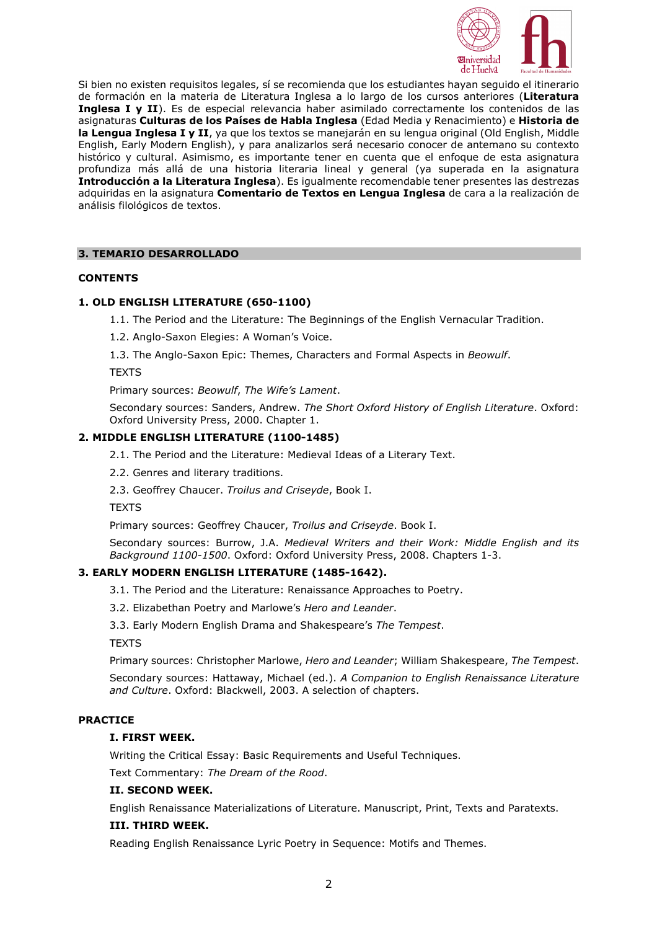

Si bien no existen requisitos legales, sí se recomienda que los estudiantes hayan seguido el itinerario de formación en la materia de Literatura Inglesa a lo largo de los cursos anteriores (**Literatura Inglesa I y II**). Es de especial relevancia haber asimilado correctamente los contenidos de las asignaturas **Culturas de los Países de Habla Inglesa** (Edad Media y Renacimiento) e **Historia de la Lengua Inglesa I y II**, ya que los textos se manejarán en su lengua original (Old English, Middle English, Early Modern English), y para analizarlos será necesario conocer de antemano su contexto histórico y cultural. Asimismo, es importante tener en cuenta que el enfoque de esta asignatura profundiza más allá de una historia literaria lineal y general (ya superada en la asignatura **Introducción a la Literatura Inglesa**). Es igualmente recomendable tener presentes las destrezas adquiridas en la asignatura **Comentario de Textos en Lengua Inglesa** de cara a la realización de análisis filológicos de textos.

# **3. TEMARIO DESARROLLADO**

# **CONTENTS**

# **1. OLD ENGLISH LITERATURE (650-1100)**

1.1. The Period and the Literature: The Beginnings of the English Vernacular Tradition.

1.2. Anglo-Saxon Elegies: A Woman's Voice.

1.3. The Anglo-Saxon Epic: Themes, Characters and Formal Aspects in *Beowulf*.

**TEXTS** 

Primary sources: *Beowulf*, *The Wife's Lament*.

Secondary sources: Sanders, Andrew. *The Short Oxford History of English Literature*. Oxford: Oxford University Press, 2000. Chapter 1.

# **2. MIDDLE ENGLISH LITERATURE (1100-1485)**

2.1. The Period and the Literature: Medieval Ideas of a Literary Text.

2.2. Genres and literary traditions.

2.3. Geoffrey Chaucer. *Troilus and Criseyde*, Book I.

**TEXTS** 

Primary sources: Geoffrey Chaucer, *Troilus and Criseyde*. Book I.

Secondary sources: Burrow, J.A. *Medieval Writers and their Work: Middle English and its Background 1100-1500*. Oxford: Oxford University Press, 2008. Chapters 1-3.

# **3. EARLY MODERN ENGLISH LITERATURE (1485-1642).**

3.1. The Period and the Literature: Renaissance Approaches to Poetry.

3.2. Elizabethan Poetry and Marlowe's *Hero and Leander*.

3.3. Early Modern English Drama and Shakespeare's *The Tempest*.

**TEXTS** 

Primary sources: Christopher Marlowe, *Hero and Leander*; William Shakespeare, *The Tempest*.

Secondary sources: Hattaway, Michael (ed.). *A Companion to English Renaissance Literature and Culture*. Oxford: Blackwell, 2003. A selection of chapters.

# **PRACTICE**

# **I. FIRST WEEK.**

Writing the Critical Essay: Basic Requirements and Useful Techniques.

Text Commentary: *The Dream of the Rood*.

# **II. SECOND WEEK.**

English Renaissance Materializations of Literature. Manuscript, Print, Texts and Paratexts.

# **III. THIRD WEEK.**

Reading English Renaissance Lyric Poetry in Sequence: Motifs and Themes.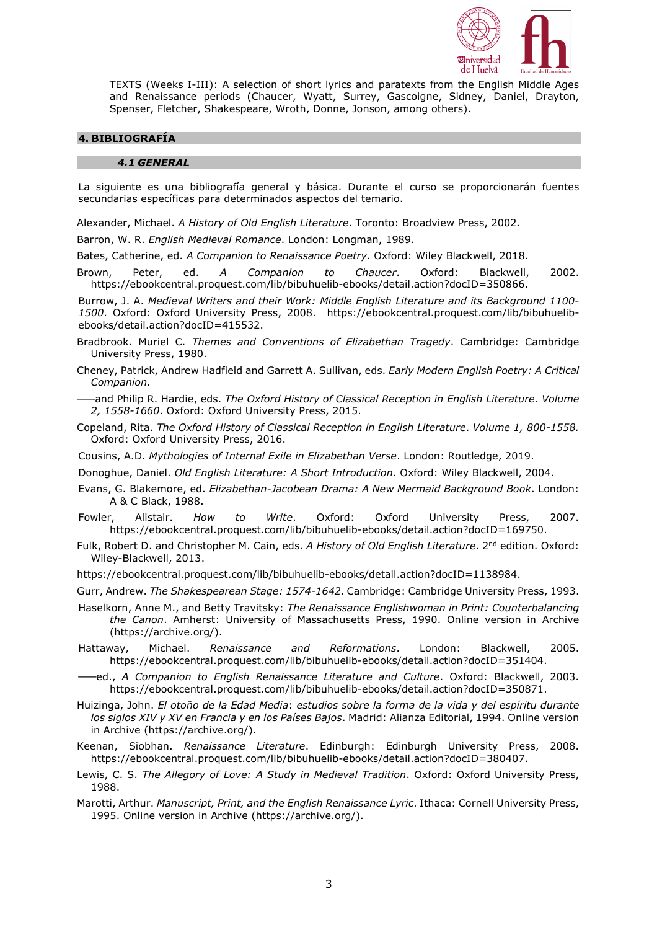

TEXTS (Weeks I-III): A selection of short lyrics and paratexts from the English Middle Ages and Renaissance periods (Chaucer, Wyatt, Surrey, Gascoigne, Sidney, Daniel, Drayton, Spenser, Fletcher, Shakespeare, Wroth, Donne, Jonson, among others).

# **4. BIBLIOGRAFÍA**

#### *4.1 GENERAL*

La siguiente es una bibliografía general y básica. Durante el curso se proporcionarán fuentes secundarias específicas para determinados aspectos del temario.

Alexander, Michael. *A History of Old English Literature*. Toronto: Broadview Press, 2002.

Barron, W. R. *English Medieval Romance*. London: Longman, 1989.

Bates, Catherine, ed. *A Companion to Renaissance Poetry*. Oxford: Wiley Blackwell, 2018.

Brown, Peter, ed. *A Companion to Chaucer*. Oxford: Blackwell, 2002. https://ebookcentral.proquest.com/lib/bibuhuelib-ebooks/detail.action?docID=350866.

Burrow, J. A. *Medieval Writers and their Work: Middle English Literature and its Background 1100- 1500*. Oxford: Oxford University Press, 2008. https://ebookcentral.proquest.com/lib/bibuhuelibebooks/detail.action?docID=415532.

- Bradbrook. Muriel C. *Themes and Conventions of Elizabethan Tragedy*. Cambridge: Cambridge University Press, 1980.
- Cheney, Patrick, Andrew Hadfield and Garrett A. Sullivan, eds. *Early Modern English Poetry: A Critical Companion.*
- ⸺and Philip R. Hardie, eds. *The Oxford History of Classical Reception in English Literature. Volume 2, 1558-1660*. Oxford: Oxford University Press, 2015.
- Copeland, Rita. *The Oxford History of Classical Reception in English Literature*. *Volume 1, 800-1558.* Oxford: Oxford University Press, 2016.
- Cousins, A.D. *Mythologies of Internal Exile in Elizabethan Verse*. London: Routledge, 2019.
- Donoghue, Daniel. *Old English Literature: A Short Introduction*. Oxford: Wiley Blackwell, 2004.
- Evans, G. Blakemore, ed. *Elizabethan-Jacobean Drama: A New Mermaid Background Book*. London: A & C Black, 1988.
- Fowler, Alistair. *How to Write*. Oxford: Oxford University Press, 2007. https://ebookcentral.proquest.com/lib/bibuhuelib-ebooks/detail.action?docID=169750.
- Fulk, Robert D. and Christopher M. Cain, eds. *A History of Old English Literature*. 2nd edition. Oxford: Wiley-Blackwell, 2013.
- https://ebookcentral.proquest.com/lib/bibuhuelib-ebooks/detail.action?docID=1138984.
- Gurr, Andrew. *The Shakespearean Stage: 1574-1642*. Cambridge: Cambridge University Press, 1993.
- Haselkorn, Anne M., and Betty Travitsky: *The Renaissance Englishwoman in Print: Counterbalancing the Canon*. Amherst: University of Massachusetts Press, 1990. Online version in Archive (https://archive.org/).
- Hattaway, Michael. *Renaissance and Reformations*. London: Blackwell, 2005. https://ebookcentral.proquest.com/lib/bibuhuelib-ebooks/detail.action?docID=351404.
- ⸺ed., *A Companion to English Renaissance Literature and Culture*. Oxford: Blackwell, 2003. https://ebookcentral.proquest.com/lib/bibuhuelib-ebooks/detail.action?docID=350871.
- Huizinga, John. *El otoño de la Edad Media*: *estudios sobre la forma de la vida y del espíritu durante los siglos XIV y XV en Francia y en los Países Bajos*. Madrid: Alianza Editorial, 1994. Online version in Archive (https://archive.org/).
- Keenan, Siobhan. *Renaissance Literature*. Edinburgh: Edinburgh University Press, 2008. https://ebookcentral.proquest.com/lib/bibuhuelib-ebooks/detail.action?docID=380407.
- Lewis, C. S. *The Allegory of Love: A Study in Medieval Tradition*. Oxford: Oxford University Press, 1988.
- Marotti, Arthur. *Manuscript, Print, and the English Renaissance Lyric*. Ithaca: Cornell University Press, 1995. Online version in Archive (https://archive.org/).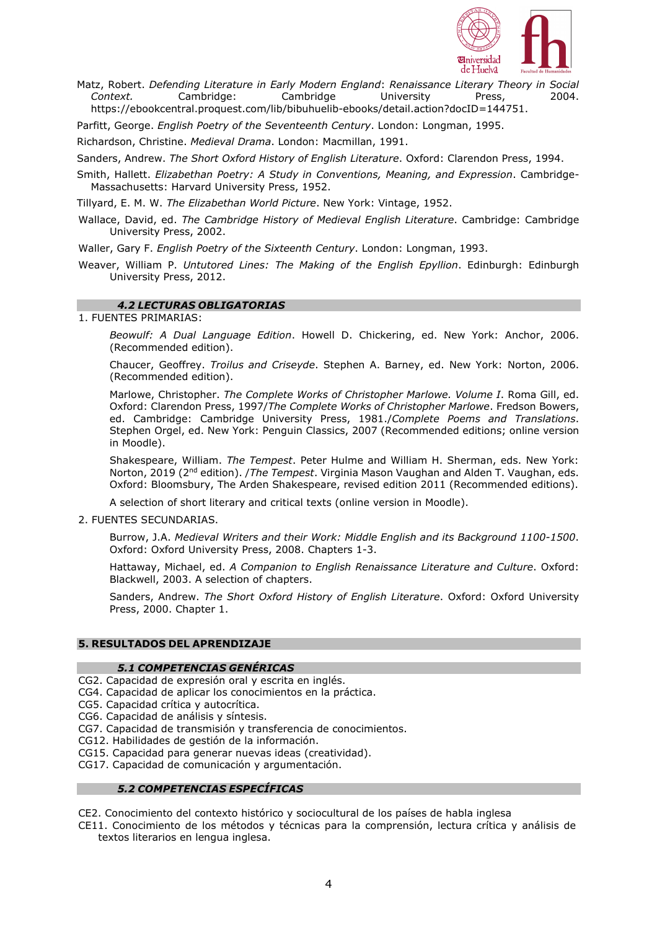

Matz, Robert. *Defending Literature in Early Modern England*: *Renaissance Literary Theory in Social Context.* Cambridge: Cambridge University Press, 2004. https://ebookcentral.proquest.com/lib/bibuhuelib-ebooks/detail.action?docID=144751.

Parfitt, George. *English Poetry of the Seventeenth Century*. London: Longman, 1995.

Richardson, Christine. *Medieval Drama*. London: Macmillan, 1991.

Sanders, Andrew. *The Short Oxford History of English Literature*. Oxford: Clarendon Press, 1994.

Smith, Hallett. *Elizabethan Poetry: A Study in Conventions, Meaning, and Expression*. Cambridge-Massachusetts: Harvard University Press, 1952.

Tillyard, E. M. W. *The Elizabethan World Picture*. New York: Vintage, 1952.

Wallace, David, ed. *The Cambridge History of Medieval English Literature*. Cambridge: Cambridge University Press, 2002.

Waller, Gary F. *English Poetry of the Sixteenth Century*. London: Longman, 1993.

Weaver, William P. *Untutored Lines: The Making of the English Epyllion*. Edinburgh: Edinburgh University Press, 2012.

# *4.2 LECTURAS OBLIGATORIAS*

# 1. FUENTES PRIMARIAS:

*Beowulf: A Dual Language Edition*. Howell D. Chickering, ed. New York: Anchor, 2006. (Recommended edition).

Chaucer, Geoffrey. *Troilus and Criseyde*. Stephen A. Barney, ed. New York: Norton, 2006. (Recommended edition).

Marlowe, Christopher. *The Complete Works of Christopher Marlowe. Volume I*. Roma Gill, ed. Oxford: Clarendon Press, 1997/*The Complete Works of Christopher Marlowe*. Fredson Bowers, ed. Cambridge: Cambridge University Press, 1981./*Complete Poems and Translations*. Stephen Orgel, ed. New York: Penguin Classics, 2007 (Recommended editions; online version in Moodle).

Shakespeare, William. *The Tempest*. Peter Hulme and William H. Sherman, eds. New York: Norton, 2019 (2nd edition). /*The Tempest*. Virginia Mason Vaughan and Alden T. Vaughan, eds. Oxford: Bloomsbury, The Arden Shakespeare, revised edition 2011 (Recommended editions).

A selection of short literary and critical texts (online version in Moodle).

# 2. FUENTES SECUNDARIAS.

Burrow, J.A. *Medieval Writers and their Work: Middle English and its Background 1100-1500*. Oxford: Oxford University Press, 2008. Chapters 1-3.

Hattaway, Michael, ed. *A Companion to English Renaissance Literature and Culture*. Oxford: Blackwell, 2003. A selection of chapters.

Sanders, Andrew. *The Short Oxford History of English Literature*. Oxford: Oxford University Press, 2000. Chapter 1.

# **5. RESULTADOS DEL APRENDIZAJE**

# *5.1 COMPETENCIAS GENÉRICAS*

CG2. Capacidad de expresión oral y escrita en inglés.

CG4. Capacidad de aplicar los conocimientos en la práctica.

CG5. Capacidad crítica y autocrítica.

CG6. Capacidad de análisis y síntesis.

CG7. Capacidad de transmisión y transferencia de conocimientos.

CG12. Habilidades de gestión de la información.

CG15. Capacidad para generar nuevas ideas (creatividad).

CG17. Capacidad de comunicación y argumentación.

# *5.2 COMPETENCIAS ESPECÍFICAS*

CE2. Conocimiento del contexto histórico y sociocultural de los países de habla inglesa

CE11. Conocimiento de los métodos y técnicas para la comprensión, lectura crítica y análisis de textos literarios en lengua inglesa.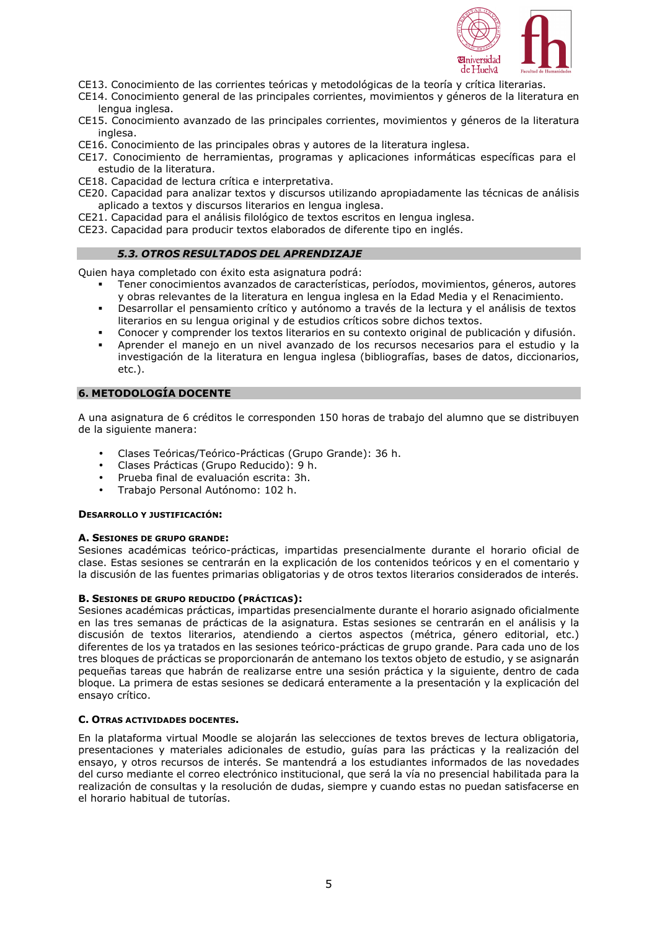

- CE13. Conocimiento de las corrientes teóricas y metodológicas de la teoría y crítica literarias.
- CE14. Conocimiento general de las principales corrientes, movimientos y géneros de la literatura en lengua inglesa.
- CE15. Conocimiento avanzado de las principales corrientes, movimientos y géneros de la literatura inglesa.
- CE16. Conocimiento de las principales obras y autores de la literatura inglesa.
- CE17. Conocimiento de herramientas, programas y aplicaciones informáticas específicas para el estudio de la literatura.
- CE18. Capacidad de lectura crítica e interpretativa.
- CE20. Capacidad para analizar textos y discursos utilizando apropiadamente las técnicas de análisis aplicado a textos y discursos literarios en lengua inglesa.
- CE21. Capacidad para el análisis filológico de textos escritos en lengua inglesa.
- CE23. Capacidad para producir textos elaborados de diferente tipo en inglés.

### *5.3. OTROS RESULTADOS DEL APRENDIZAJE*

Quien haya completado con éxito esta asignatura podrá:

- Tener conocimientos avanzados de características, períodos, movimientos, géneros, autores y obras relevantes de la literatura en lengua inglesa en la Edad Media y el Renacimiento.
- Desarrollar el pensamiento crítico y autónomo a través de la lectura y el análisis de textos literarios en su lengua original y de estudios críticos sobre dichos textos.
- Conocer y comprender los textos literarios en su contexto original de publicación y difusión.
- Aprender el manejo en un nivel avanzado de los recursos necesarios para el estudio y la investigación de la literatura en lengua inglesa (bibliografías, bases de datos, diccionarios, etc.).

### **6. METODOLOGÍA DOCENTE**

A una asignatura de 6 créditos le corresponden 150 horas de trabajo del alumno que se distribuyen de la siguiente manera:

- Clases Teóricas/Teórico-Prácticas (Grupo Grande): 36 h.
- Clases Prácticas (Grupo Reducido): 9 h.
- Prueba final de evaluación escrita: 3h.
- Trabajo Personal Autónomo: 102 h.

#### **DESARROLLO Y JUSTIFICACIÓN:**

#### **A. SESIONES DE GRUPO GRANDE:**

Sesiones académicas teórico-prácticas, impartidas presencialmente durante el horario oficial de clase. Estas sesiones se centrarán en la explicación de los contenidos teóricos y en el comentario y la discusión de las fuentes primarias obligatorias y de otros textos literarios considerados de interés.

### **B. SESIONES DE GRUPO REDUCIDO (PRÁCTICAS):**

Sesiones académicas prácticas, impartidas presencialmente durante el horario asignado oficialmente en las tres semanas de prácticas de la asignatura. Estas sesiones se centrarán en el análisis y la discusión de textos literarios, atendiendo a ciertos aspectos (métrica, género editorial, etc.) diferentes de los ya tratados en las sesiones teórico-prácticas de grupo grande. Para cada uno de los tres bloques de prácticas se proporcionarán de antemano los textos objeto de estudio, y se asignarán pequeñas tareas que habrán de realizarse entre una sesión práctica y la siguiente, dentro de cada bloque. La primera de estas sesiones se dedicará enteramente a la presentación y la explicación del ensayo crítico.

## **C. OTRAS ACTIVIDADES DOCENTES.**

En la plataforma virtual Moodle se alojarán las selecciones de textos breves de lectura obligatoria, presentaciones y materiales adicionales de estudio, guías para las prácticas y la realización del ensayo, y otros recursos de interés. Se mantendrá a los estudiantes informados de las novedades del curso mediante el correo electrónico institucional, que será la vía no presencial habilitada para la realización de consultas y la resolución de dudas, siempre y cuando estas no puedan satisfacerse en el horario habitual de tutorías.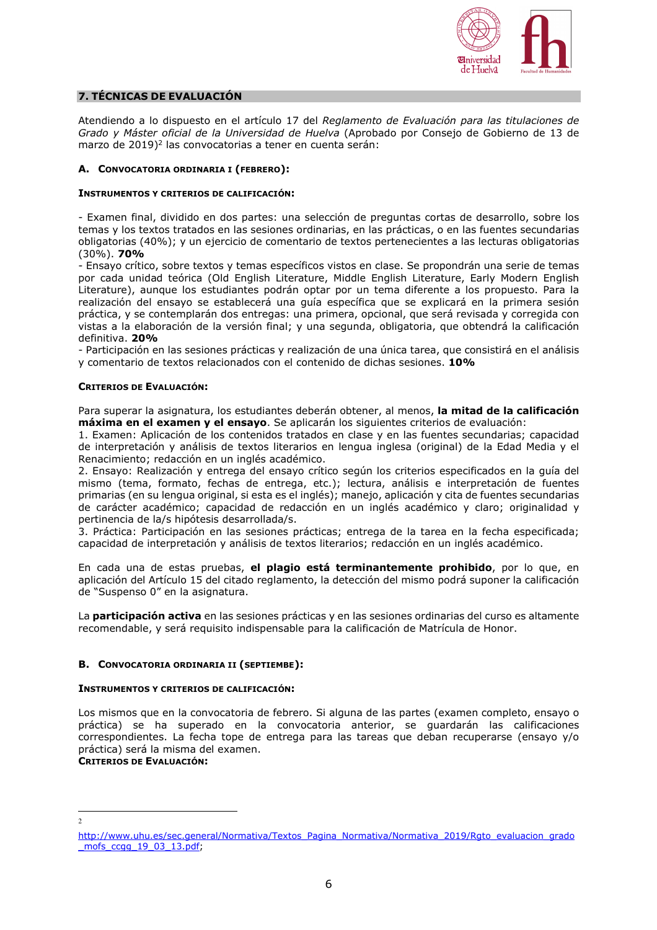

# **7. TÉCNICAS DE EVALUACIÓN**

Atendiendo a lo dispuesto en el artículo 17 del *Reglamento de Evaluación para las titulaciones de Grado y Máster oficial de la Universidad de Huelva* (Aprobado por Consejo de Gobierno de 13 de marzo de 2019)<sup>2</sup> las convocatorias a tener en cuenta serán:

# **A. CONVOCATORIA ORDINARIA I (FEBRERO):**

### **INSTRUMENTOS Y CRITERIOS DE CALIFICACIÓN:**

- Examen final, dividido en dos partes: una selección de preguntas cortas de desarrollo, sobre los temas y los textos tratados en las sesiones ordinarias, en las prácticas, o en las fuentes secundarias obligatorias (40%); y un ejercicio de comentario de textos pertenecientes a las lecturas obligatorias (30%). **70%**

- Ensayo crítico, sobre textos y temas específicos vistos en clase. Se propondrán una serie de temas por cada unidad teórica (Old English Literature, Middle English Literature, Early Modern English Literature), aunque los estudiantes podrán optar por un tema diferente a los propuesto. Para la realización del ensayo se establecerá una guía específica que se explicará en la primera sesión práctica, y se contemplarán dos entregas: una primera, opcional, que será revisada y corregida con vistas a la elaboración de la versión final; y una segunda, obligatoria, que obtendrá la calificación definitiva. **20%** 

- Participación en las sesiones prácticas y realización de una única tarea, que consistirá en el análisis y comentario de textos relacionados con el contenido de dichas sesiones. **10%** 

### **CRITERIOS DE EVALUACIÓN:**

Para superar la asignatura, los estudiantes deberán obtener, al menos, **la mitad de la calificación máxima en el examen y el ensayo**. Se aplicarán los siguientes criterios de evaluación:

1. Examen: Aplicación de los contenidos tratados en clase y en las fuentes secundarias; capacidad de interpretación y análisis de textos literarios en lengua inglesa (original) de la Edad Media y el Renacimiento; redacción en un inglés académico.

2. Ensayo: Realización y entrega del ensayo crítico según los criterios especificados en la guía del mismo (tema, formato, fechas de entrega, etc.); lectura, análisis e interpretación de fuentes primarias (en su lengua original, si esta es el inglés); manejo, aplicación y cita de fuentes secundarias de carácter académico; capacidad de redacción en un inglés académico y claro; originalidad y pertinencia de la/s hipótesis desarrollada/s.

3. Práctica: Participación en las sesiones prácticas; entrega de la tarea en la fecha especificada; capacidad de interpretación y análisis de textos literarios; redacción en un inglés académico.

En cada una de estas pruebas, **el plagio está terminantemente prohibido**, por lo que, en aplicación del Artículo 15 del citado reglamento, la detección del mismo podrá suponer la calificación de "Suspenso 0" en la asignatura.

La **participación activa** en las sesiones prácticas y en las sesiones ordinarias del curso es altamente recomendable, y será requisito indispensable para la calificación de Matrícula de Honor.

# **B. CONVOCATORIA ORDINARIA II (SEPTIEMBE):**

#### **INSTRUMENTOS Y CRITERIOS DE CALIFICACIÓN:**

Los mismos que en la convocatoria de febrero. Si alguna de las partes (examen completo, ensayo o práctica) se ha superado en la convocatoria anterior, se guardarán las calificaciones correspondientes. La fecha tope de entrega para las tareas que deban recuperarse (ensayo y/o práctica) será la misma del examen.

**CRITERIOS DE EVALUACIÓN:**

 $\overline{2}$ 

http://www.uhu.es/sec.general/Normativa/Textos\_Pagina\_Normativa/Normativa\_2019/Rgto\_evaluacion\_grado \_mofs\_ccgg\_19\_03\_13.pdf;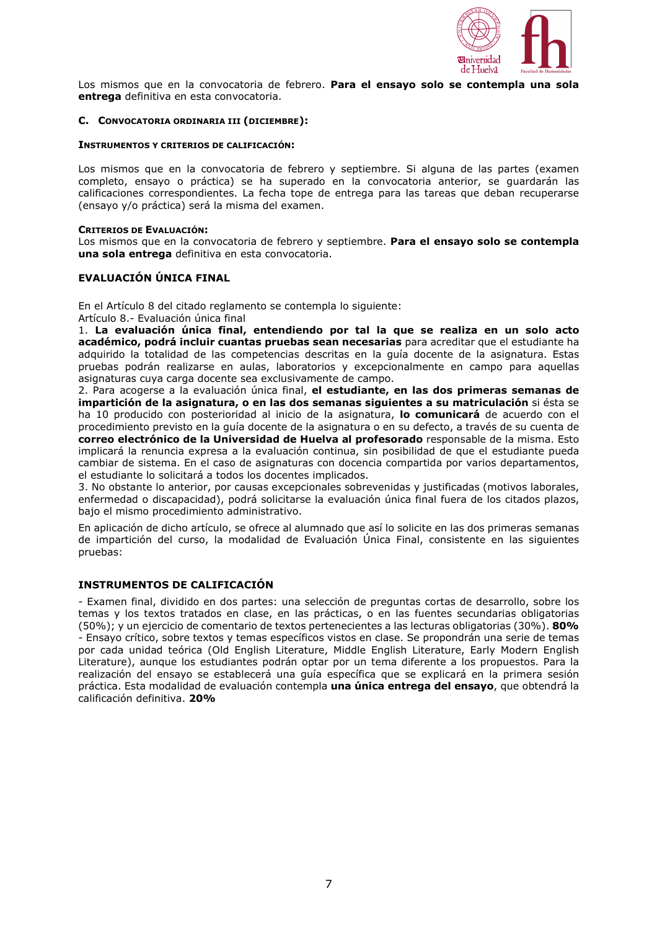

Los mismos que en la convocatoria de febrero. **Para el ensayo solo se contempla una sola entrega** definitiva en esta convocatoria.

### **C. CONVOCATORIA ORDINARIA III (DICIEMBRE):**

### **INSTRUMENTOS Y CRITERIOS DE CALIFICACIÓN:**

Los mismos que en la convocatoria de febrero y septiembre. Si alguna de las partes (examen completo, ensayo o práctica) se ha superado en la convocatoria anterior, se guardarán las calificaciones correspondientes. La fecha tope de entrega para las tareas que deban recuperarse (ensayo y/o práctica) será la misma del examen.

### **CRITERIOS DE EVALUACIÓN:**

Los mismos que en la convocatoria de febrero y septiembre. **Para el ensayo solo se contempla una sola entrega** definitiva en esta convocatoria.

# **EVALUACIÓN ÚNICA FINAL**

En el Artículo 8 del citado reglamento se contempla lo siguiente: Artículo 8.- Evaluación única final

1. **La evaluación única final, entendiendo por tal la que se realiza en un solo acto académico, podrá incluir cuantas pruebas sean necesarias** para acreditar que el estudiante ha adquirido la totalidad de las competencias descritas en la guía docente de la asignatura. Estas pruebas podrán realizarse en aulas, laboratorios y excepcionalmente en campo para aquellas asignaturas cuya carga docente sea exclusivamente de campo.

2. Para acogerse a la evaluación única final, **el estudiante, en las dos primeras semanas de impartición de la asignatura, o en las dos semanas siguientes a su matriculación** si ésta se ha 10 producido con posterioridad al inicio de la asignatura, **lo comunicará** de acuerdo con el procedimiento previsto en la guía docente de la asignatura o en su defecto, a través de su cuenta de **correo electrónico de la Universidad de Huelva al profesorado** responsable de la misma. Esto implicará la renuncia expresa a la evaluación continua, sin posibilidad de que el estudiante pueda cambiar de sistema. En el caso de asignaturas con docencia compartida por varios departamentos, el estudiante lo solicitará a todos los docentes implicados.

3. No obstante lo anterior, por causas excepcionales sobrevenidas y justificadas (motivos laborales, enfermedad o discapacidad), podrá solicitarse la evaluación única final fuera de los citados plazos, bajo el mismo procedimiento administrativo.

En aplicación de dicho artículo, se ofrece al alumnado que así lo solicite en las dos primeras semanas de impartición del curso, la modalidad de Evaluación Única Final, consistente en las siguientes pruebas:

# **INSTRUMENTOS DE CALIFICACIÓN**

- Examen final, dividido en dos partes: una selección de preguntas cortas de desarrollo, sobre los temas y los textos tratados en clase, en las prácticas, o en las fuentes secundarias obligatorias (50%); y un ejercicio de comentario de textos pertenecientes a las lecturas obligatorias (30%). **80%** - Ensayo crítico, sobre textos y temas específicos vistos en clase. Se propondrán una serie de temas por cada unidad teórica (Old English Literature, Middle English Literature, Early Modern English Literature), aunque los estudiantes podrán optar por un tema diferente a los propuestos. Para la realización del ensayo se establecerá una guía específica que se explicará en la primera sesión práctica. Esta modalidad de evaluación contempla **una única entrega del ensayo**, que obtendrá la calificación definitiva. **20%**